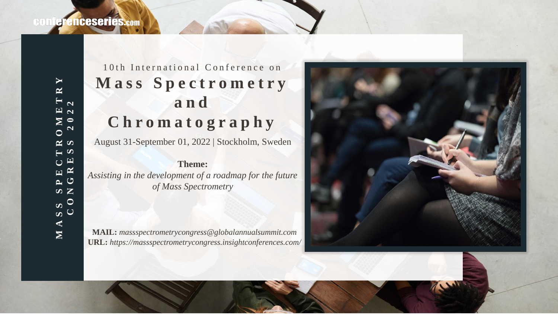# 10th International Conference on Mass Spectrometry **and C h r o m a t o g r a p h y**

August 31-September 01, 2022 | Stockholm, Sweden

**Theme:**  *Assisting in the development of a roadmap for the future of Mass Spectrometry*

**MAIL:** *massspectrometrycongress@globalannualsummit.com* **URL:** *https://massspectrometrycongress.insightconferences.com/*

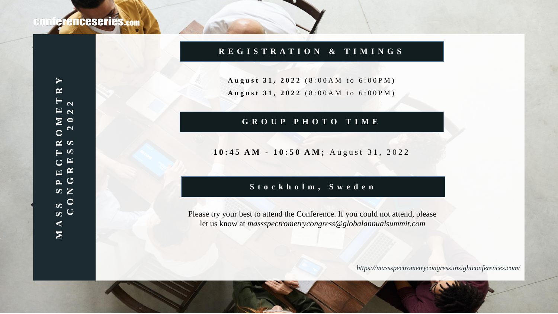## **R E G I S T R A T I O N & T I M I N G S**

August 31, 2022 (8:00AM to 6:00PM) August 31, 2022 (8:00AM to 6:00PM)

## **G R O U P P H O T O T I M E**

#### 10:45 AM - 10:50 AM; August 31, 2022

### **S t o c k h o l m , S w e d e n**

Please try your best to attend the Conference. If you could not attend, please let us know at *massspectrometrycongress@globalannualsummit.com*

*https://massspectrometrycongress.insightconferences.com/*